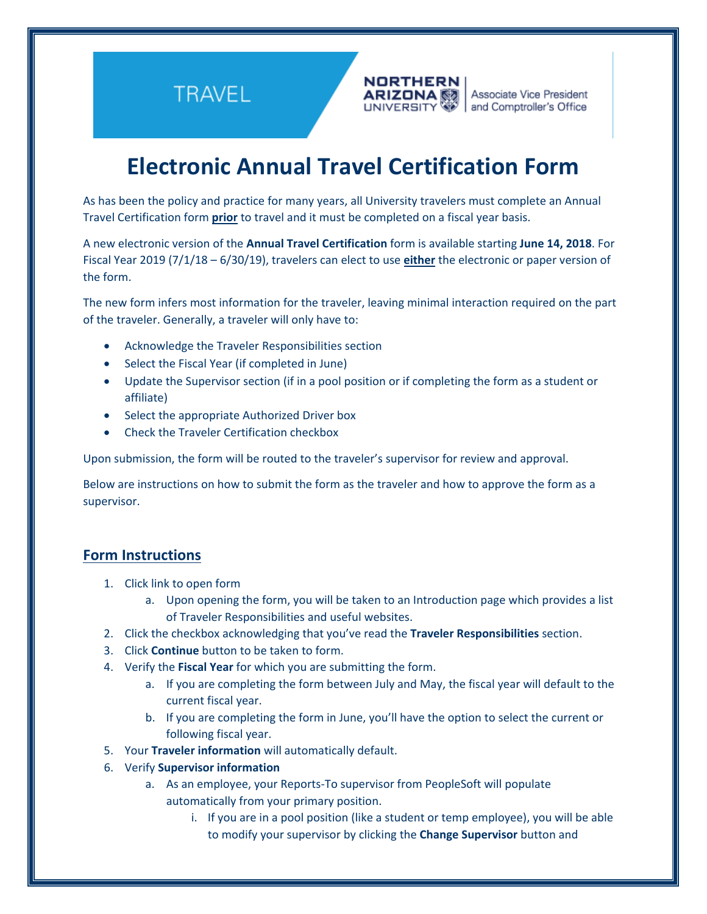**TRAVEL** 



# **Electronic Annual Travel Certification Form**

As has been the policy and practice for many years, all University travelers must complete an Annual Travel Certification form **prior** to travel and it must be completed on a fiscal year basis.

A new electronic version of the **Annual Travel Certification** form is available starting **June 14, 2018**. For Fiscal Year 2019 (7/1/18 – 6/30/19), travelers can elect to use **either** the electronic or paper version of the form.

The new form infers most information for the traveler, leaving minimal interaction required on the part of the traveler. Generally, a traveler will only have to:

- Acknowledge the Traveler Responsibilities section
- Select the Fiscal Year (if completed in June)
- Update the Supervisor section (if in a pool position or if completing the form as a student or affiliate)
- Select the appropriate Authorized Driver box
- Check the Traveler Certification checkbox

Upon submission, the form will be routed to the traveler's supervisor for review and approval.

Below are instructions on how to submit the form as the traveler and how to approve the form as a supervisor.

### **Form Instructions**

- 1. Click link to open form
	- a. Upon opening the form, you will be taken to an Introduction page which provides a list of Traveler Responsibilities and useful websites.
- 2. Click the checkbox acknowledging that you've read the **Traveler Responsibilities** section.
- 3. Click **Continue** button to be taken to form.
- 4. Verify the **Fiscal Year** for which you are submitting the form.
	- a. If you are completing the form between July and May, the fiscal year will default to the current fiscal year.
	- b. If you are completing the form in June, you'll have the option to select the current or following fiscal year.
- 5. Your **Traveler information** will automatically default.
- 6. Verify **Supervisor information**
	- a. As an employee, your Reports-To supervisor from PeopleSoft will populate automatically from your primary position.
		- i. If you are in a pool position (like a student or temp employee), you will be able to modify your supervisor by clicking the **Change Supervisor** button and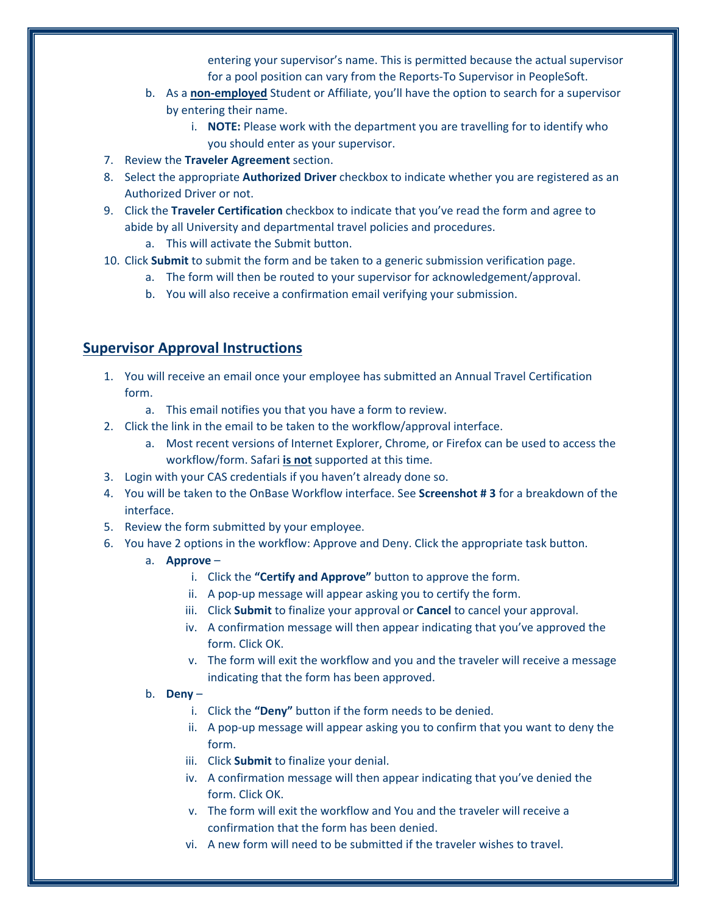entering your supervisor's name. This is permitted because the actual supervisor for a pool position can vary from the Reports-To Supervisor in PeopleSoft.

- b. As a **non-employed** Student or Affiliate, you'll have the option to search for a supervisor by entering their name.
	- i. **NOTE:** Please work with the department you are travelling for to identify who you should enter as your supervisor.
- 7. Review the **Traveler Agreement** section.
- 8. Select the appropriate **Authorized Driver** checkbox to indicate whether you are registered as an Authorized Driver or not.
- 9. Click the **Traveler Certification** checkbox to indicate that you've read the form and agree to abide by all University and departmental travel policies and procedures.
	- a. This will activate the Submit button.
- 10. Click **Submit** to submit the form and be taken to a generic submission verification page.
	- a. The form will then be routed to your supervisor for acknowledgement/approval.
	- b. You will also receive a confirmation email verifying your submission.

## **Supervisor Approval Instructions**

- 1. You will receive an email once your employee has submitted an Annual Travel Certification form.
	- a. This email notifies you that you have a form to review.
- 2. Click the link in the email to be taken to the workflow/approval interface.
	- a. Most recent versions of Internet Explorer, Chrome, or Firefox can be used to access the workflow/form. Safari **is not** supported at this time.
- 3. Login with your CAS credentials if you haven't already done so.
- 4. You will be taken to the OnBase Workflow interface. See **Screenshot # 3** for a breakdown of the interface.
- 5. Review the form submitted by your employee.
- 6. You have 2 options in the workflow: Approve and Deny. Click the appropriate task button.
	- a. **Approve**
		- i. Click the **"Certify and Approve"** button to approve the form.
		- ii. A pop-up message will appear asking you to certify the form.
		- iii. Click **Submit** to finalize your approval or **Cancel** to cancel your approval.
		- iv. A confirmation message will then appear indicating that you've approved the form. Click OK.
		- v. The form will exit the workflow and you and the traveler will receive a message indicating that the form has been approved.
	- b. **Deny**
		- i. Click the **"Deny"** button if the form needs to be denied.
		- ii. A pop-up message will appear asking you to confirm that you want to deny the form.
		- iii. Click **Submit** to finalize your denial.
		- iv. A confirmation message will then appear indicating that you've denied the form. Click OK.
		- v. The form will exit the workflow and You and the traveler will receive a confirmation that the form has been denied.
		- vi. A new form will need to be submitted if the traveler wishes to travel.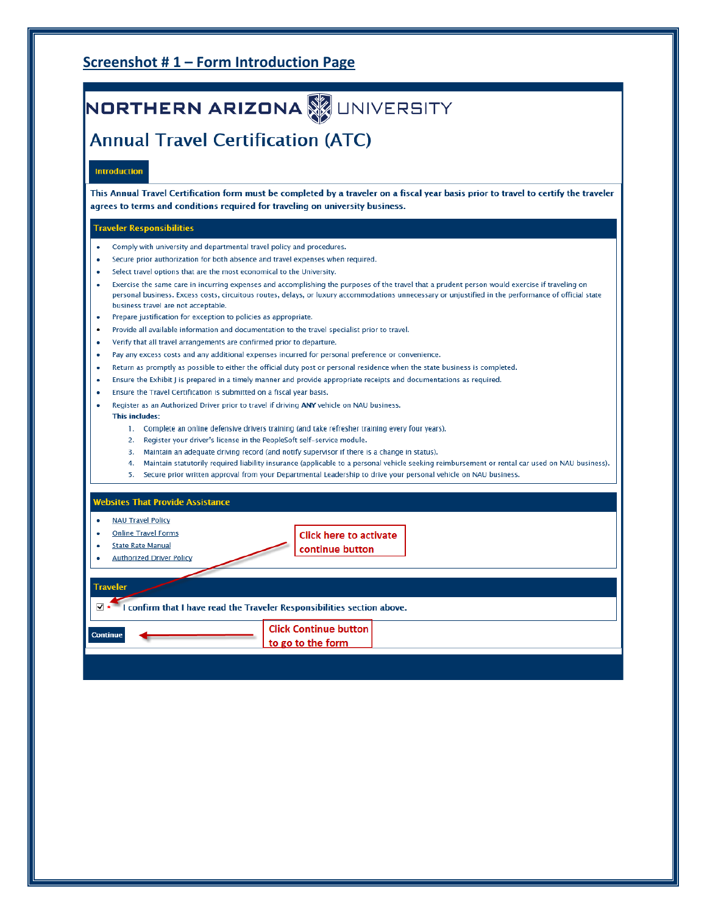## Screenshot #1 - Form Introduction Page

# NORTHERN ARIZONA WUNIVERSITY

## **Annual Travel Certification (ATC)**

### **Introduction**

This Annual Travel Certification form must be completed by a traveler on a fiscal year basis prior to travel to certify the traveler agrees to terms and conditions required for traveling on university business.

### **Traveler Responsibilities**

- Comply with university and departmental travel policy and procedures.
- Secure prior authorization for both absence and travel expenses when required.
- Select travel options that are the most economical to the University.
- Exercise the same care in incurring expenses and accomplishing the purposes of the travel that a prudent person would exercise if traveling on personal business. Excess costs, circuitous routes, delays, or luxury accommodations unnecessary or unjustified in the performance of official state business travel are not acceptable.
- Prepare justification for exception to policies as appropriate.
- Provide all available information and documentation to the travel specialist prior to travel.
- Verify that all travel arrangements are confirmed prior to departure.
- Pay any excess costs and any additional expenses incurred for personal preference or convenience.  $\bullet$
- Return as promptly as possible to either the official duty post or personal residence when the state business is completed.
- Ensure the Exhibit J is prepared in a timely manner and provide appropriate receipts and documentations as required.
- Ensure the Travel Certification is submitted on a fiscal year basis.
- Register as an Authorized Driver prior to travel if driving ANY vehicle on NAU business.

#### This includes:

- 1. Complete an online defensive drivers training (and take refresher training every four years).
- 2. Register your driver's license in the PeopleSoft self-service module.
- 3. Maintain an adequate driving record (and notify supervisor if there is a change in status).
- 4. Maintain statutorily required liability insurance (applicable to a personal vehicle seeking reimbursement or rental car used on NAU business).
- 5. Secure prior written approval from your Departmental Leadership to drive your personal vehicle on NAU business.

| <b>Websites That Provide Assistance</b> |                                                                         |  |
|-----------------------------------------|-------------------------------------------------------------------------|--|
| <b>NAU Travel Policy</b><br>٠           |                                                                         |  |
| <b>Online Travel Forms</b>              | <b>Click here to activate</b>                                           |  |
| <b>State Rate Manual</b>                | continue button                                                         |  |
| <b>Authorized Driver Policy</b>         |                                                                         |  |
|                                         |                                                                         |  |
| <b>Traveler</b>                         |                                                                         |  |
| √ ∗                                     | I confirm that I have read the Traveler Responsibilities section above. |  |
| <b>Continue</b>                         | <b>Click Continue button</b>                                            |  |
|                                         | to go to the form                                                       |  |
|                                         |                                                                         |  |
|                                         |                                                                         |  |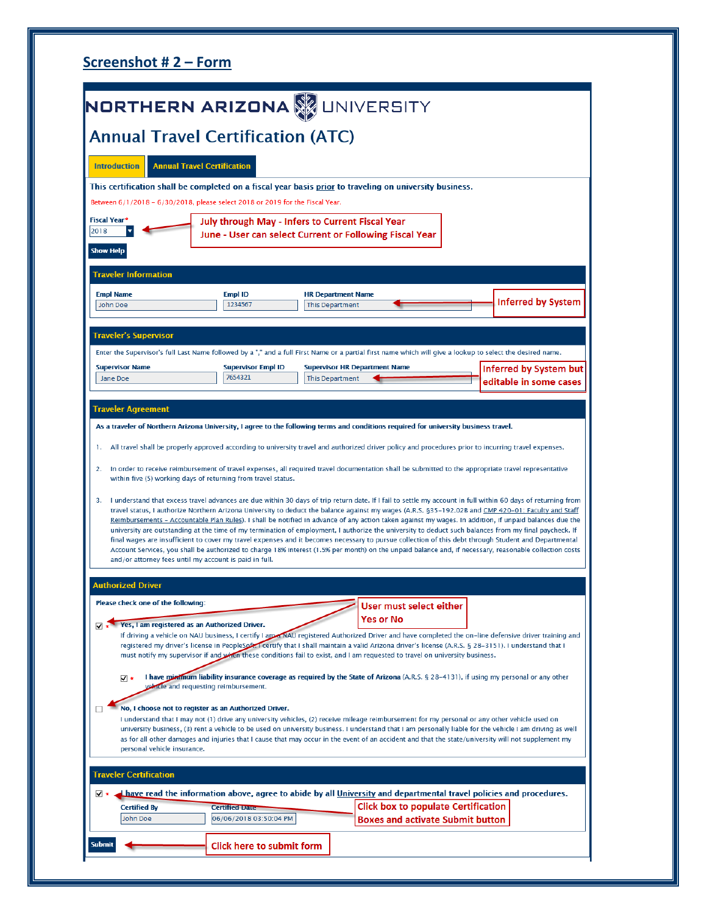|                                                                                                        | NORTHERN ARIZONA <b>W</b> UNIVERSITY                                          |                                                                |                                                                                                                                                                                                                                                                                                                                                                                                                                                     |                                                                                                                                                                                                                                                                                                                                                                                                                                                                                                                                                                                                                                   |
|--------------------------------------------------------------------------------------------------------|-------------------------------------------------------------------------------|----------------------------------------------------------------|-----------------------------------------------------------------------------------------------------------------------------------------------------------------------------------------------------------------------------------------------------------------------------------------------------------------------------------------------------------------------------------------------------------------------------------------------------|-----------------------------------------------------------------------------------------------------------------------------------------------------------------------------------------------------------------------------------------------------------------------------------------------------------------------------------------------------------------------------------------------------------------------------------------------------------------------------------------------------------------------------------------------------------------------------------------------------------------------------------|
|                                                                                                        | <b>Annual Travel Certification (ATC)</b>                                      |                                                                |                                                                                                                                                                                                                                                                                                                                                                                                                                                     |                                                                                                                                                                                                                                                                                                                                                                                                                                                                                                                                                                                                                                   |
| <b>Introduction</b>                                                                                    | <b>Annual Travel Certification</b>                                            |                                                                |                                                                                                                                                                                                                                                                                                                                                                                                                                                     |                                                                                                                                                                                                                                                                                                                                                                                                                                                                                                                                                                                                                                   |
|                                                                                                        | Between 6/1/2018 - 6/30/2018, please select 2018 or 2019 for the Fiscal Year. |                                                                | This certification shall be completed on a fiscal year basis prior to traveling on university business.                                                                                                                                                                                                                                                                                                                                             |                                                                                                                                                                                                                                                                                                                                                                                                                                                                                                                                                                                                                                   |
| Fiscal Year*                                                                                           | <b>July through May - Infers to Current Fiscal Year</b>                       |                                                                |                                                                                                                                                                                                                                                                                                                                                                                                                                                     |                                                                                                                                                                                                                                                                                                                                                                                                                                                                                                                                                                                                                                   |
| 2018<br><b>Show Help</b>                                                                               |                                                                               |                                                                | June - User can select Current or Following Fiscal Year                                                                                                                                                                                                                                                                                                                                                                                             |                                                                                                                                                                                                                                                                                                                                                                                                                                                                                                                                                                                                                                   |
| <b>Traveler Information</b>                                                                            |                                                                               |                                                                |                                                                                                                                                                                                                                                                                                                                                                                                                                                     |                                                                                                                                                                                                                                                                                                                                                                                                                                                                                                                                                                                                                                   |
| <b>Empl Name</b><br>John Doe                                                                           | Empl ID<br>1234567                                                            | <b>HR Department Name</b><br><b>This Department</b>            |                                                                                                                                                                                                                                                                                                                                                                                                                                                     | <b>Inferred by System</b>                                                                                                                                                                                                                                                                                                                                                                                                                                                                                                                                                                                                         |
| <b>Traveler's Supervisor</b>                                                                           |                                                                               |                                                                |                                                                                                                                                                                                                                                                                                                                                                                                                                                     |                                                                                                                                                                                                                                                                                                                                                                                                                                                                                                                                                                                                                                   |
|                                                                                                        |                                                                               |                                                                | Enter the Supervisor's full Last Name followed by a "," and a full First Name or a partial first name which will give a lookup to select the desired name.                                                                                                                                                                                                                                                                                          |                                                                                                                                                                                                                                                                                                                                                                                                                                                                                                                                                                                                                                   |
| <b>Supervisor Name</b><br>Jane Doe                                                                     | <b>Supervisor Empl ID</b><br>7654321                                          | <b>Supervisor HR Department Name</b><br><b>This Department</b> |                                                                                                                                                                                                                                                                                                                                                                                                                                                     | <b>Inferred by System but</b><br>editable in some cases                                                                                                                                                                                                                                                                                                                                                                                                                                                                                                                                                                           |
|                                                                                                        | within five (5) working days of returning from travel status.                 |                                                                | As a traveler of Northern Arizona University, I agree to the following terms and conditions required for university business travel.<br>All travel shall be properly approved according to university travel and authorized driver policy and procedures prior to incurring travel expenses.<br>In order to receive reimbursement of travel expenses, all required travel documentation shall be submitted to the appropriate travel representative | I understand that excess travel advances are due within 30 days of trip return date. If I fail to settle my account in full within 60 days of returning from<br>travel status, I authorize Northern Arizona University to deduct the balance against my wages (A.R.S. §35-192.02B and CMP 420-01: Faculty and Staff                                                                                                                                                                                                                                                                                                               |
|                                                                                                        |                                                                               |                                                                |                                                                                                                                                                                                                                                                                                                                                                                                                                                     | Reimbursements - Accountable Plan Rules). I shall be notified in advance of any action taken against my wages. In addition, if unpaid balances due the<br>university are outstanding at the time of my termination of employment, I authorize the university to deduct such balances from my final paycheck. If<br>final wages are insufficient to cover my travel expenses and it becomes necessary to pursue collection of this debt through Student and Departmental<br>Account Services, you shall be authorized to charge 18% interest (1.5% per month) on the unpaid balance and, if necessary, reasonable collection costs |
|                                                                                                        | and/or attorney fees until my account is paid in full.                        |                                                                |                                                                                                                                                                                                                                                                                                                                                                                                                                                     |                                                                                                                                                                                                                                                                                                                                                                                                                                                                                                                                                                                                                                   |
| Traveler Agreement<br>ъ.<br>2.<br>з.<br><b>Authorized Driver</b><br>Please check one of the following: |                                                                               |                                                                |                                                                                                                                                                                                                                                                                                                                                                                                                                                     |                                                                                                                                                                                                                                                                                                                                                                                                                                                                                                                                                                                                                                   |
|                                                                                                        | Yes, I am registered as an Authorized Driver.                                 |                                                                | User must select either<br>Yes or No<br>registered my driver's license in PeopleSoft. Teertify that I shall maintain a valid Arizona driver's license (A.R.S. § 28-3151). I understand that I<br>must notify my supervisor if and when these conditions fail to exist, and I am requested to travel on university business.                                                                                                                         | If driving a vehicle on NAU business, I certify I am will buy registered Authorized Driver and have completed the on-line defensive driver training and                                                                                                                                                                                                                                                                                                                                                                                                                                                                           |
| $\nabla \cdot$                                                                                         | volucle and requesting reimbursement.                                         |                                                                | I have minimum liability insurance coverage as required by the State of Arizona (A.R.S. § 28-4131), if using my personal or any other                                                                                                                                                                                                                                                                                                               |                                                                                                                                                                                                                                                                                                                                                                                                                                                                                                                                                                                                                                   |
| П<br>personal vehicle insurance.                                                                       | No, I choose not to register as an Authorized Driver.                         |                                                                | I understand that I may not (1) drive any university vehicles, (2) receive mileage reimbursement for my personal or any other vehicle used on<br>as for all other damages and injuries that I cause that may occur in the event of an accident and that the state/university will not supplement my                                                                                                                                                 | university business, (3) rent a vehicle to be used on university business. I understand that I am personally liable for the vehicle I am driving as well                                                                                                                                                                                                                                                                                                                                                                                                                                                                          |
|                                                                                                        |                                                                               |                                                                |                                                                                                                                                                                                                                                                                                                                                                                                                                                     |                                                                                                                                                                                                                                                                                                                                                                                                                                                                                                                                                                                                                                   |
| <b>Traveler Certification</b><br>$\sqrt{*}$                                                            |                                                                               |                                                                | I have read the information above, agree to abide by all University and departmental travel policies and procedures.                                                                                                                                                                                                                                                                                                                                |                                                                                                                                                                                                                                                                                                                                                                                                                                                                                                                                                                                                                                   |